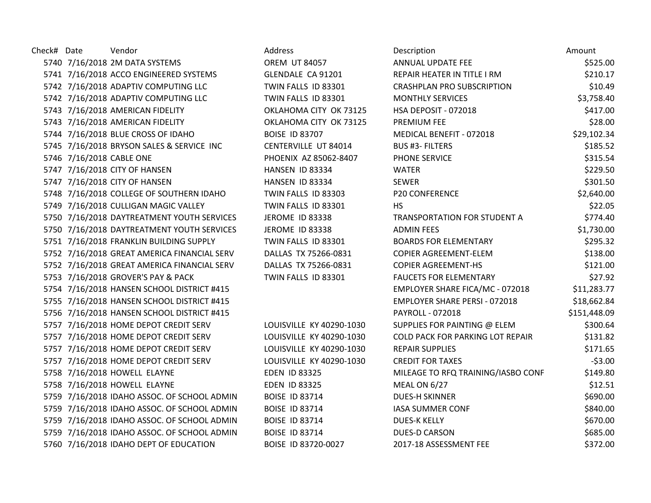| Check# Date | Vendor                                      | Address                  | Description                             | Amount       |
|-------------|---------------------------------------------|--------------------------|-----------------------------------------|--------------|
|             | 5740 7/16/2018 2M DATA SYSTEMS              | <b>OREM UT 84057</b>     | ANNUAL UPDATE FEE                       | \$525.00     |
|             | 5741 7/16/2018 ACCO ENGINEERED SYSTEMS      | GLENDALE CA 91201        | REPAIR HEATER IN TITLE I RM             | \$210.17     |
|             | 5742 7/16/2018 ADAPTIV COMPUTING LLC        | TWIN FALLS ID 83301      | <b>CRASHPLAN PRO SUBSCRIPTION</b>       | \$10.49      |
|             | 5742 7/16/2018 ADAPTIV COMPUTING LLC        | TWIN FALLS ID 83301      | <b>MONTHLY SERVICES</b>                 | \$3,758.40   |
|             | 5743 7/16/2018 AMERICAN FIDELITY            | OKLAHOMA CITY OK 73125   | HSA DEPOSIT - 072018                    | \$417.00     |
|             | 5743 7/16/2018 AMERICAN FIDELITY            | OKLAHOMA CITY OK 73125   | <b>PREMIUM FEE</b>                      | \$28.00      |
|             | 5744 7/16/2018 BLUE CROSS OF IDAHO          | <b>BOISE ID 83707</b>    | MEDICAL BENEFIT - 072018                | \$29,102.34  |
|             | 5745 7/16/2018 BRYSON SALES & SERVICE INC   | CENTERVILLE UT 84014     | <b>BUS #3- FILTERS</b>                  | \$185.52     |
|             | 5746 7/16/2018 CABLE ONE                    | PHOENIX AZ 85062-8407    | <b>PHONE SERVICE</b>                    | \$315.54     |
|             | 5747 7/16/2018 CITY OF HANSEN               | HANSEN ID 83334          | <b>WATER</b>                            | \$229.50     |
|             | 5747 7/16/2018 CITY OF HANSEN               | HANSEN ID 83334          | <b>SEWER</b>                            | \$301.50     |
|             | 5748 7/16/2018 COLLEGE OF SOUTHERN IDAHO    | TWIN FALLS ID 83303      | <b>P20 CONFERENCE</b>                   | \$2,640.00   |
|             | 5749 7/16/2018 CULLIGAN MAGIC VALLEY        | TWIN FALLS ID 83301      | <b>HS</b>                               | \$22.05      |
|             | 5750 7/16/2018 DAYTREATMENT YOUTH SERVICES  | <b>JEROME ID 83338</b>   | TRANSPORTATION FOR STUDENT A            | \$774.40     |
|             | 5750 7/16/2018 DAYTREATMENT YOUTH SERVICES  | <b>JEROME ID 83338</b>   | <b>ADMIN FEES</b>                       | \$1,730.00   |
|             | 5751 7/16/2018 FRANKLIN BUILDING SUPPLY     | TWIN FALLS ID 83301      | <b>BOARDS FOR ELEMENTARY</b>            | \$295.32     |
|             | 5752 7/16/2018 GREAT AMERICA FINANCIAL SERV | DALLAS TX 75266-0831     | <b>COPIER AGREEMENT-ELEM</b>            | \$138.00     |
|             | 5752 7/16/2018 GREAT AMERICA FINANCIAL SERV | DALLAS TX 75266-0831     | <b>COPIER AGREEMENT-HS</b>              | \$121.00     |
|             | 5753 7/16/2018 GROVER'S PAY & PACK          | TWIN FALLS ID 83301      | <b>FAUCETS FOR ELEMENTARY</b>           | \$27.92      |
|             | 5754 7/16/2018 HANSEN SCHOOL DISTRICT #415  |                          | EMPLOYER SHARE FICA/MC - 072018         | \$11,283.77  |
|             | 5755 7/16/2018 HANSEN SCHOOL DISTRICT #415  |                          | <b>EMPLOYER SHARE PERSI - 072018</b>    | \$18,662.84  |
|             | 5756 7/16/2018 HANSEN SCHOOL DISTRICT #415  |                          | PAYROLL - 072018                        | \$151,448.09 |
|             | 5757 7/16/2018 HOME DEPOT CREDIT SERV       | LOUISVILLE KY 40290-1030 | SUPPLIES FOR PAINTING @ ELEM            | \$300.64     |
|             | 5757 7/16/2018 HOME DEPOT CREDIT SERV       | LOUISVILLE KY 40290-1030 | <b>COLD PACK FOR PARKING LOT REPAIR</b> | \$131.82     |
|             | 5757 7/16/2018 HOME DEPOT CREDIT SERV       | LOUISVILLE KY 40290-1030 | <b>REPAIR SUPPLIES</b>                  | \$171.65     |
|             | 5757 7/16/2018 HOME DEPOT CREDIT SERV       | LOUISVILLE KY 40290-1030 | <b>CREDIT FOR TAXES</b>                 | $-53.00$     |
|             | 5758 7/16/2018 HOWELL ELAYNE                | <b>EDEN ID 83325</b>     | MILEAGE TO RFQ TRAINING/IASBO CONF      | \$149.80     |
|             | 5758 7/16/2018 HOWELL ELAYNE                | <b>EDEN ID 83325</b>     | <b>MEAL ON 6/27</b>                     | \$12.51      |
|             | 5759 7/16/2018 IDAHO ASSOC. OF SCHOOL ADMIN | <b>BOISE ID 83714</b>    | <b>DUES-H SKINNER</b>                   | \$690.00     |
|             | 5759 7/16/2018 IDAHO ASSOC. OF SCHOOL ADMIN | <b>BOISE ID 83714</b>    | <b>IASA SUMMER CONF</b>                 | \$840.00     |
|             | 5759 7/16/2018 IDAHO ASSOC. OF SCHOOL ADMIN | <b>BOISE ID 83714</b>    | <b>DUES-K KELLY</b>                     | \$670.00     |
|             | 5759 7/16/2018 IDAHO ASSOC. OF SCHOOL ADMIN | <b>BOISE ID 83714</b>    | <b>DUES-D CARSON</b>                    | \$685.00     |
|             | 5760 7/16/2018 IDAHO DEPT OF EDUCATION      | BOISE ID 83720-0027      | 2017-18 ASSESSMENT FEE                  | \$372.00     |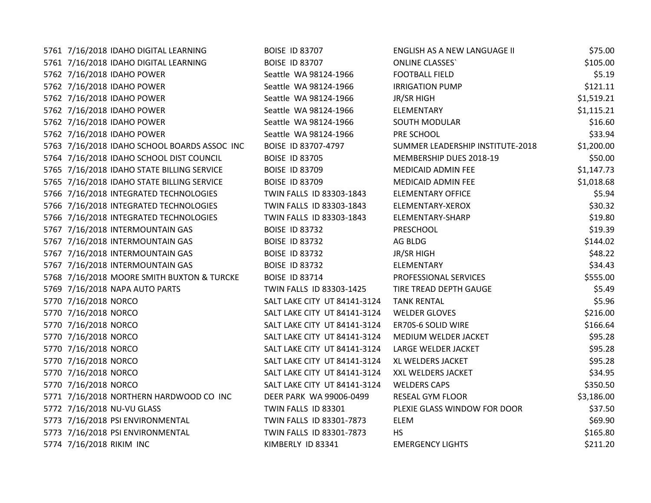| 5761 7/16/2018 IDAHO DIGITAL LEARNING        | <b>BOISE ID 83707</b>        | ENGLISH AS A NEW LANGUAGE II     | \$75.00    |
|----------------------------------------------|------------------------------|----------------------------------|------------|
| 5761 7/16/2018 IDAHO DIGITAL LEARNING        | <b>BOISE ID 83707</b>        | <b>ONLINE CLASSES</b>            | \$105.00   |
| 5762 7/16/2018 IDAHO POWER                   | Seattle WA 98124-1966        | <b>FOOTBALL FIELD</b>            | \$5.19     |
| 5762 7/16/2018 IDAHO POWER                   | Seattle WA 98124-1966        | <b>IRRIGATION PUMP</b>           | \$121.11   |
| 5762 7/16/2018 IDAHO POWER                   | Seattle WA 98124-1966        | <b>JR/SR HIGH</b>                | \$1,519.21 |
| 5762 7/16/2018 IDAHO POWER                   | Seattle WA 98124-1966        | ELEMENTARY                       | \$1,115.21 |
| 5762 7/16/2018 IDAHO POWER                   | Seattle WA 98124-1966        | <b>SOUTH MODULAR</b>             | \$16.60    |
| 5762 7/16/2018 IDAHO POWER                   | Seattle WA 98124-1966        | PRE SCHOOL                       | \$33.94    |
| 5763 7/16/2018 IDAHO SCHOOL BOARDS ASSOC INC | BOISE ID 83707-4797          | SUMMER LEADERSHIP INSTITUTE-2018 | \$1,200.00 |
| 5764 7/16/2018 IDAHO SCHOOL DIST COUNCIL     | <b>BOISE ID 83705</b>        | MEMBERSHIP DUES 2018-19          | \$50.00    |
| 5765 7/16/2018 IDAHO STATE BILLING SERVICE   | <b>BOISE ID 83709</b>        | MEDICAID ADMIN FEE               | \$1,147.73 |
| 5765 7/16/2018 IDAHO STATE BILLING SERVICE   | <b>BOISE ID 83709</b>        | MEDICAID ADMIN FEE               | \$1,018.68 |
| 5766 7/16/2018 INTEGRATED TECHNOLOGIES       | TWIN FALLS ID 83303-1843     | <b>ELEMENTARY OFFICE</b>         | \$5.94     |
| 5766 7/16/2018 INTEGRATED TECHNOLOGIES       | TWIN FALLS ID 83303-1843     | ELEMENTARY-XEROX                 | \$30.32    |
| 5766 7/16/2018 INTEGRATED TECHNOLOGIES       | TWIN FALLS ID 83303-1843     | ELEMENTARY-SHARP                 | \$19.80    |
| 5767 7/16/2018 INTERMOUNTAIN GAS             | <b>BOISE ID 83732</b>        | PRESCHOOL                        | \$19.39    |
| 5767 7/16/2018 INTERMOUNTAIN GAS             | <b>BOISE ID 83732</b>        | AG BLDG                          | \$144.02   |
| 5767 7/16/2018 INTERMOUNTAIN GAS             | <b>BOISE ID 83732</b>        | <b>JR/SR HIGH</b>                | \$48.22    |
| 5767 7/16/2018 INTERMOUNTAIN GAS             | <b>BOISE ID 83732</b>        | ELEMENTARY                       | \$34.43    |
| 5768 7/16/2018 MOORE SMITH BUXTON & TURCKE   | <b>BOISE ID 83714</b>        | PROFESSIONAL SERVICES            | \$555.00   |
| 5769 7/16/2018 NAPA AUTO PARTS               | TWIN FALLS ID 83303-1425     | TIRE TREAD DEPTH GAUGE           | \$5.49     |
| 5770 7/16/2018 NORCO                         | SALT LAKE CITY UT 84141-3124 | <b>TANK RENTAL</b>               | \$5.96     |
| 5770 7/16/2018 NORCO                         | SALT LAKE CITY UT 84141-3124 | <b>WELDER GLOVES</b>             | \$216.00   |
| 5770 7/16/2018 NORCO                         | SALT LAKE CITY UT 84141-3124 | ER70S-6 SOLID WIRE               | \$166.64   |
| 5770 7/16/2018 NORCO                         | SALT LAKE CITY UT 84141-3124 | MEDIUM WELDER JACKET             | \$95.28    |
| 5770 7/16/2018 NORCO                         | SALT LAKE CITY UT 84141-3124 | LARGE WELDER JACKET              | \$95.28    |
| 5770 7/16/2018 NORCO                         | SALT LAKE CITY UT 84141-3124 | XL WELDERS JACKET                | \$95.28    |
| 5770 7/16/2018 NORCO                         | SALT LAKE CITY UT 84141-3124 | XXL WELDERS JACKET               | \$34.95    |
| 5770 7/16/2018 NORCO                         | SALT LAKE CITY UT 84141-3124 | <b>WELDERS CAPS</b>              | \$350.50   |
| 5771 7/16/2018 NORTHERN HARDWOOD CO INC      | DEER PARK WA 99006-0499      | RESEAL GYM FLOOR                 | \$3,186.00 |
| 5772 7/16/2018 NU-VU GLASS                   | TWIN FALLS ID 83301          | PLEXIE GLASS WINDOW FOR DOOR     | \$37.50    |
| 5773 7/16/2018 PSI ENVIRONMENTAL             | TWIN FALLS ID 83301-7873     | <b>ELEM</b>                      | \$69.90    |
| 5773 7/16/2018 PSI ENVIRONMENTAL             | TWIN FALLS ID 83301-7873     | <b>HS</b>                        | \$165.80   |
| 5774 7/16/2018 RIKIM INC                     | KIMBERLY ID 83341            | <b>EMERGENCY LIGHTS</b>          | \$211.20   |